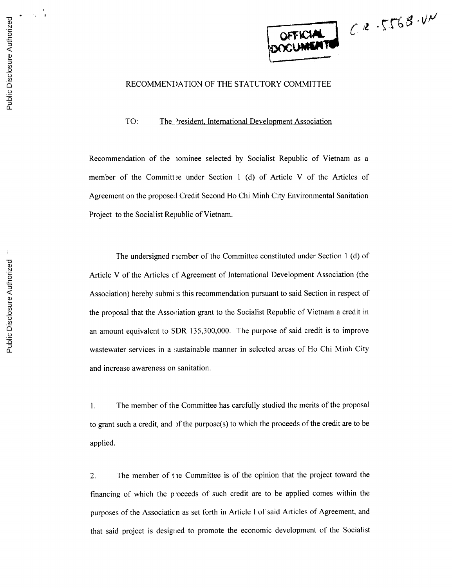

## **RECOMMENDATION** OF **THE** STATUTORY COMMITTEE

TO: The 'resident, International Development Association

Recommendation of the iominee selected **by** Socialist Republic of Vietnam as a member of the Committ:e under Section 1 **(d)** of Article V of the Articles of Agreement on the proposed Credit Second Ho Chi Minh City Environmental Sanitation Project to the Socialist Republic of Vietnam.

The undersigned r iember of the Committee constituted under Section 1 **(d)** of Article V of the Articles cf Agreement of International Development Association (the Association) hereby submi s this recommendation pursuant to said Section in respect of the proposal that the Association grant to the Socialist Republic of Vietnam a credit in an amount equivalent to SDR **135,300,000.** The purpose of said credit is to improve wastewater services in a sustainable manner in selected areas of Ho Chi Minh City and increase awareness on sanitation.

**1.** The member of the Committee has carefully studied the merits of the proposal to grant such a credit, and **)f** the purpose(s) to which the proceeds of the credit are to be applied.

2. The member of **t** ie Committee is of the opinion that the project toward the financing of which the p oceeds of such credit are to be applied comes within the purposes of the Associatic n as set forth in Article **I** of said Articles of Agreement, and that said project is designed to promote the economic development of the Socialist